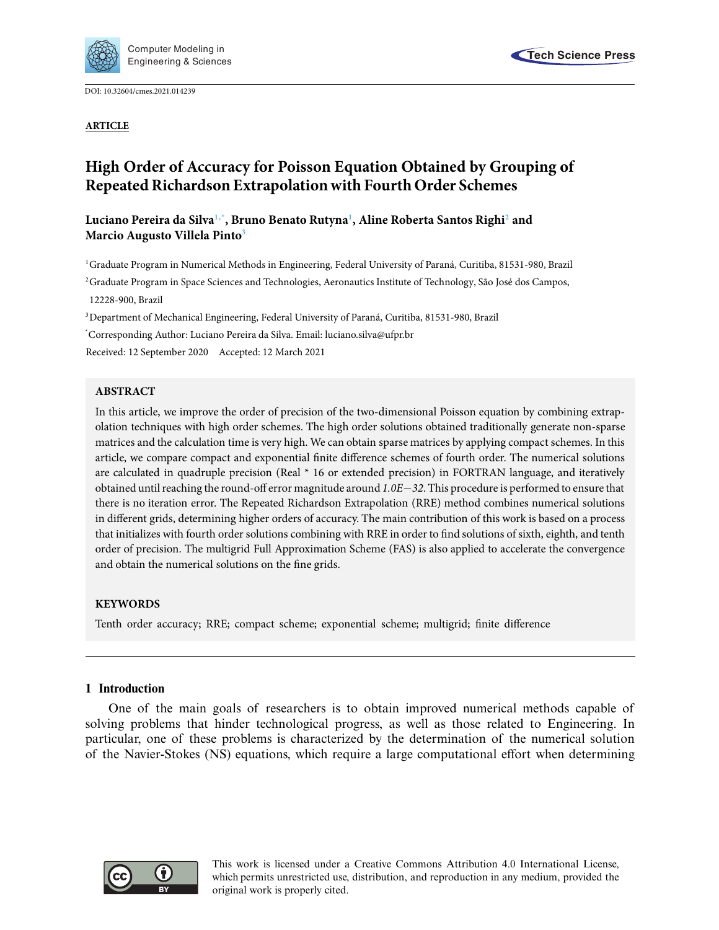

DOI: [10.32604/cmes.2021.014239](http://dx.doi.org/10.32604/cmes.2021.014239)

**ARTICLE**



# **High Order of Accuracy for Poisson Equation Obtained by Grouping of Repeated Richardson Extrapolation with Fourth Order Schemes**

# **Luciano Pereira da Silv[a1,](#page-0-0)[\\*,](#page-0-1) Bruno Benato Rutyn[a1](#page-0-0) , Aline Roberta Santos Righ[i2](#page-0-2) and Marcio Augusto Villela Pint[o3](#page-0-3)**

<span id="page-0-0"></span><sup>1</sup>Graduate Program in Numerical Methods in Engineering, Federal University of Paraná, Curitiba, 81531-980, Brazil

<span id="page-0-2"></span><sup>2</sup> Graduate Program in Space Sciences and Technologies, Aeronautics Institute of Technology, São José dos Campos, 12228-900, Brazil

<span id="page-0-3"></span><sup>3</sup>Department of Mechanical Engineering, Federal University of Paraná, Curitiba, 81531-980, Brazil

<span id="page-0-1"></span>\* Corresponding Author: Luciano Pereira da Silva. Email: luciano.silva@ufpr.br

Received: 12 September 2020 Accepted: 12 March 2021

# **ABSTRACT**

In this article, we improve the order of precision of the two-dimensional Poisson equation by combining extrapolation techniques with high order schemes. The high order solutions obtained traditionally generate non-sparse matrices and the calculation time is very high. We can obtain sparse matrices by applying compact schemes. In this article, we compare compact and exponential finite difference schemes of fourth order. The numerical solutions are calculated in quadruple precision (Real \* 16 or extended precision) in FORTRAN language, and iteratively obtained until reaching the round-off error magnitude around *1.0E*−*32*. This procedure is performed to ensure that there is no iteration error. The Repeated Richardson Extrapolation (RRE) method combines numerical solutions in different grids, determining higher orders of accuracy. The main contribution of this work is based on a process that initializes with fourth order solutions combining with RRE in order to find solutions of sixth, eighth, and tenth order of precision. The multigrid Full Approximation Scheme (FAS) is also applied to accelerate the convergence and obtain the numerical solutions on the fine grids.

# **KEYWORDS**

Tenth order accuracy; RRE; compact scheme; exponential scheme; multigrid; finite difference

# **1 Introduction**

One of the main goals of researchers is to obtain improved numerical methods capable of solving problems that hinder technological progress, as well as those related to Engineering. In particular, one of these problems is characterized by the determination of the numerical solution of the Navier-Stokes (NS) equations, which require a large computational effort when determining

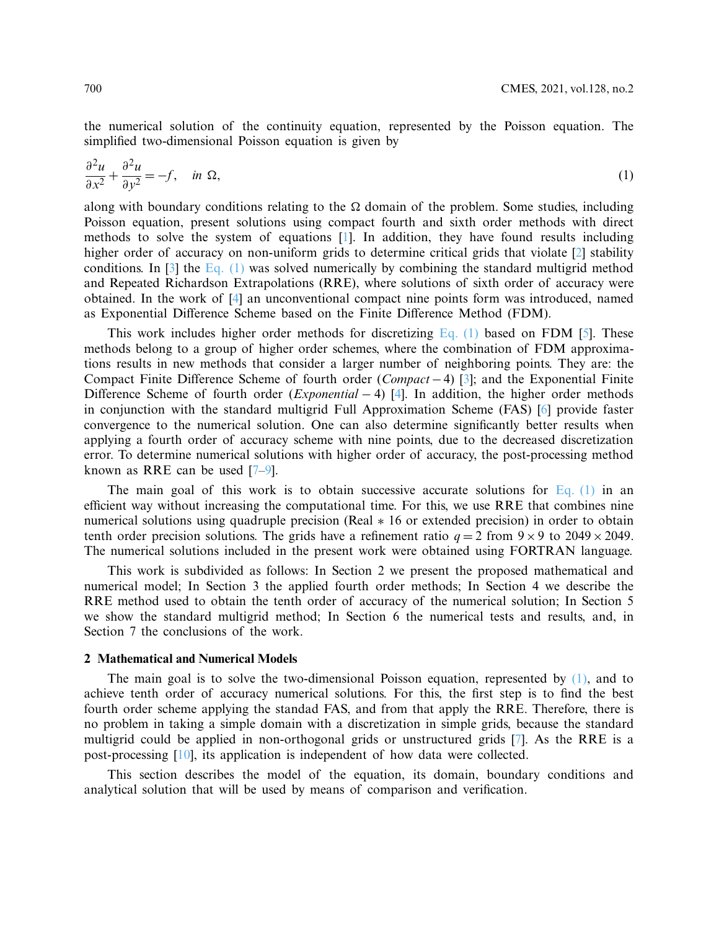the numerical solution of the continuity equation, represented by the Poisson equation. The simplified two-dimensional Poisson equation is given by

<span id="page-1-0"></span>
$$
\frac{\partial^2 u}{\partial x^2} + \frac{\partial^2 u}{\partial y^2} = -f, \quad \text{in } \Omega,
$$
\n(1)

along with boundary conditions relating to the  $\Omega$  domain of the problem. Some studies, including Poisson equation, present solutions using compact fourth and sixth order methods with direct methods to solve the system of equations [\[1](#page-14-0)]. In addition, they have found results including higher order of accuracy on non-uniform grids to determine critical grids that violate [\[2\]](#page-15-0) stability conditions. In  $\lceil 3 \rceil$  the Eq.  $\lceil 1 \rceil$  was solved numerically by combining the standard multigrid method and Repeated Richardson Extrapolations (RRE), where solutions of sixth order of accuracy were obtained. In the work of [\[4\]](#page-15-2) an unconventional compact nine points form was introduced, named as Exponential Difference Scheme based on the Finite Difference Method (FDM).

This work includes higher order methods for discretizing [Eq. \(1\)](#page-1-0) based on FDM [\[5\]](#page-15-3). These methods belong to a group of higher order schemes, where the combination of FDM approximations results in new methods that consider a larger number of neighboring points. They are: the Compact Finite Difference Scheme of fourth order (*Compact*−4) [\[3](#page-15-1)]; and the Exponential Finite Difference Scheme of fourth order (*Exponential* − 4) [\[4\]](#page-15-2). In addition, the higher order methods in conjunction with the standard multigrid Full Approximation Scheme (FAS) [\[6](#page-15-4)] provide faster convergence to the numerical solution. One can also determine significantly better results when applying a fourth order of accuracy scheme with nine points, due to the decreased discretization error. To determine numerical solutions with higher order of accuracy, the post-processing method known as RRE can be used [\[7](#page-15-5)[–9](#page-15-6)].

The main goal of this work is to obtain successive accurate solutions for Eq.  $(1)$  in an efficient way without increasing the computational time. For this, we use RRE that combines nine numerical solutions using quadruple precision (Real ∗ 16 or extended precision) in order to obtain tenth order precision solutions. The grids have a refinement ratio  $q = 2$  from  $9 \times 9$  to  $2049 \times 2049$ . The numerical solutions included in the present work were obtained using FORTRAN language.

This work is subdivided as follows: In Section 2 we present the proposed mathematical and numerical model; In Section 3 the applied fourth order methods; In Section 4 we describe the RRE method used to obtain the tenth order of accuracy of the numerical solution; In Section 5 we show the standard multigrid method; In Section 6 the numerical tests and results, and, in Section 7 the conclusions of the work.

# **2 Mathematical and Numerical Models**

The main goal is to solve the two-dimensional Poisson equation, represented by  $(1)$ , and to achieve tenth order of accuracy numerical solutions. For this, the first step is to find the best fourth order scheme applying the standad FAS, and from that apply the RRE. Therefore, there is no problem in taking a simple domain with a discretization in simple grids, because the standard multigrid could be applied in non-orthogonal grids or unstructured grids [\[7](#page-15-5)]. As the RRE is a post-processing [\[10](#page-15-7)], its application is independent of how data were collected.

This section describes the model of the equation, its domain, boundary conditions and analytical solution that will be used by means of comparison and verification.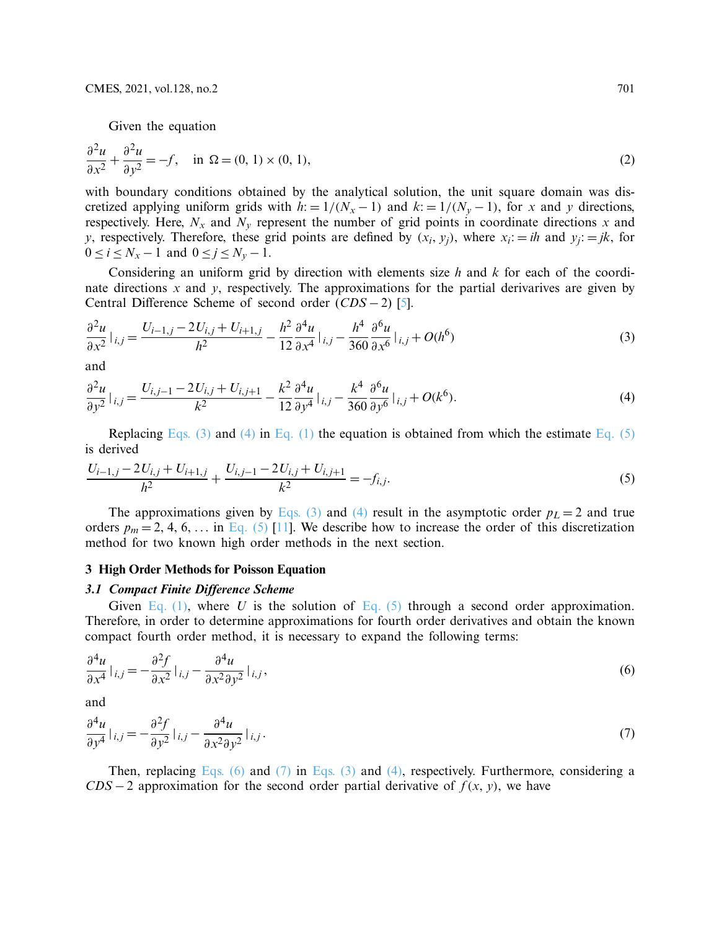Given the equation

$$
\frac{\partial^2 u}{\partial x^2} + \frac{\partial^2 u}{\partial y^2} = -f, \quad \text{in } \Omega = (0, 1) \times (0, 1), \tag{2}
$$

with boundary conditions obtained by the analytical solution, the unit square domain was discretized applying uniform grids with  $h: = 1/(N_x - 1)$  and  $k: = 1/(N_y - 1)$ , for *x* and *y* directions, respectively. Here,  $N_x$  and  $N_y$  represent the number of grid points in coordinate directions x and *y*, respectively. Therefore, these grid points are defined by  $(x_i, y_j)$ , where  $x_i = ih$  and  $y_j := jk$ , for  $0 \le i \le N_x - 1$  and  $0 \le j \le N_y - 1$ .

Considering an uniform grid by direction with elements size *h* and *k* for each of the coordinate directions *x* and *y*, respectively. The approximations for the partial derivarives are given by Central Difference Scheme of second order (*CDS* − 2) [\[5\]](#page-15-3).

<span id="page-2-0"></span>
$$
\frac{\partial^2 u}{\partial x^2}\big|_{i,j} = \frac{U_{i-1,j} - 2U_{i,j} + U_{i+1,j}}{h^2} - \frac{h^2}{12} \frac{\partial^4 u}{\partial x^4}\big|_{i,j} - \frac{h^4}{360} \frac{\partial^6 u}{\partial x^6}\big|_{i,j} + O(h^6)
$$
\n(3)

<span id="page-2-1"></span>and

$$
\frac{\partial^2 u}{\partial y^2}\big|_{i,j} = \frac{U_{i,j-1} - 2U_{i,j} + U_{i,j+1}}{k^2} - \frac{k^2}{12} \frac{\partial^4 u}{\partial y^4}\big|_{i,j} - \frac{k^4}{360} \frac{\partial^6 u}{\partial y^6}\big|_{i,j} + O(k^6). \tag{4}
$$

<span id="page-2-2"></span>Replacing [Eqs. \(3\)](#page-2-0) and [\(4\)](#page-2-1) in [Eq. \(1\)](#page-1-0) the equation is obtained from which the estimate [Eq. \(5\)](#page-2-2) is derived

$$
\frac{U_{i-1,j} - 2U_{i,j} + U_{i+1,j}}{h^2} + \frac{U_{i,j-1} - 2U_{i,j} + U_{i,j+1}}{k^2} = -f_{i,j}.
$$
\n(5)

The approximations given by [Eqs. \(3\)](#page-2-0) and [\(4\)](#page-2-1) result in the asymptotic order  $p_L = 2$  and true orders  $p_m = 2, 4, 6, \ldots$  in [Eq. \(5\)](#page-2-2) [\[11](#page-15-8)]. We describe how to increase the order of this discretization method for two known high order methods in the next section.

# **3 High Order Methods for Poisson Equation**

Given [Eq. \(1\),](#page-1-0) where *U* is the solution of [Eq. \(5\)](#page-2-2) through a second order approximation. Therefore, in order to determine approximations for fourth order derivatives and obtain the known compact fourth order method, it is necessary to expand the following terms:

<span id="page-2-3"></span>
$$
\frac{\partial^4 u}{\partial x^4}\big|_{i,j} = -\frac{\partial^2 f}{\partial x^2}\big|_{i,j} - \frac{\partial^4 u}{\partial x^2 \partial y^2}\big|_{i,j},\tag{6}
$$

<span id="page-2-4"></span>and

$$
\frac{\partial^4 u}{\partial y^4}\big|_{i,j} = -\frac{\partial^2 f}{\partial y^2}\big|_{i,j} - \frac{\partial^4 u}{\partial x^2 \partial y^2}\big|_{i,j}.
$$
\n(7)

Then, replacing [Eqs. \(6\)](#page-2-3) and [\(7\)](#page-2-4) in [Eqs. \(3\)](#page-2-0) and [\(4\),](#page-2-1) respectively. Furthermore, considering a *CDS* − 2 approximation for the second order partial derivative of  $f(x, y)$ , we have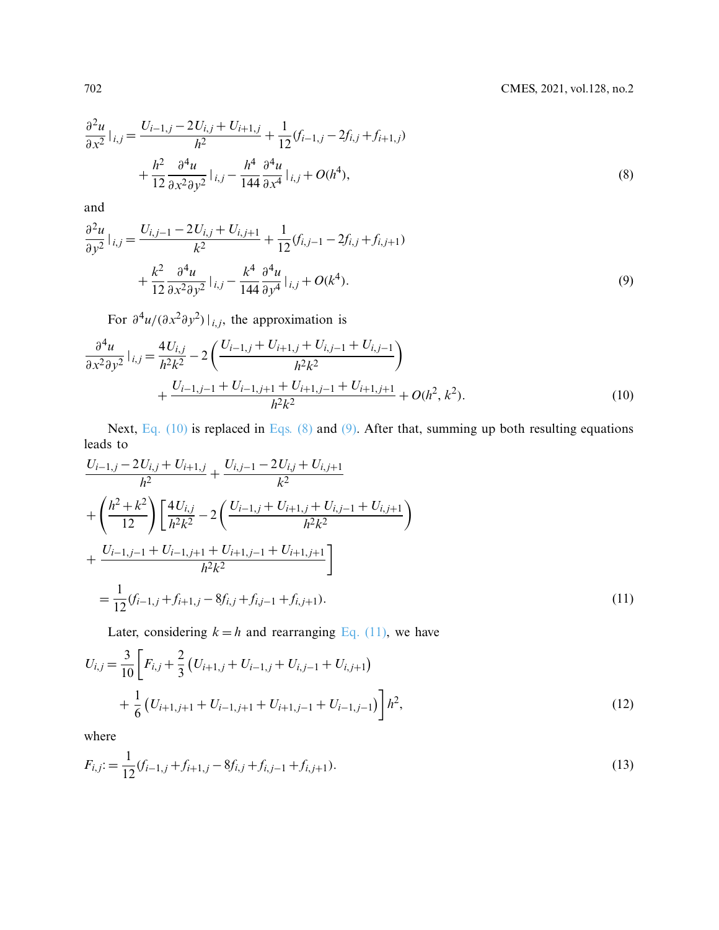$$
\frac{\partial^2 u}{\partial x^2}\Big|_{i,j} = \frac{U_{i-1,j} - 2U_{i,j} + U_{i+1,j}}{h^2} + \frac{1}{12}(f_{i-1,j} - 2f_{i,j} + f_{i+1,j}) + \frac{h^2}{12} \frac{\partial^4 u}{\partial x^2 \partial y^2}\Big|_{i,j} - \frac{h^4}{144} \frac{\partial^4 u}{\partial x^4}\Big|_{i,j} + O(h^4),
$$
\n(8)

and

$$
\frac{\partial^2 u}{\partial y^2}|_{i,j} = \frac{U_{i,j-1} - 2U_{i,j} + U_{i,j+1}}{k^2} + \frac{1}{12}(f_{i,j-1} - 2f_{i,j} + f_{i,j+1}) + \frac{k^2}{12} \frac{\partial^4 u}{\partial x^2 \partial y^2}|_{i,j} - \frac{k^4}{144} \frac{\partial^4 u}{\partial y^4}|_{i,j} + O(k^4).
$$
\n(9)

<span id="page-3-2"></span><span id="page-3-1"></span><span id="page-3-0"></span>For  $\partial^4 u/(\partial x^2 \partial y^2)|_{i,j}$ , the approximation is

$$
\frac{\partial^4 u}{\partial x^2 \partial y^2} \Big|_{i,j} = \frac{4U_{i,j}}{h^2 k^2} - 2\left(\frac{U_{i-1,j} + U_{i+1,j} + U_{i,j-1} + U_{i,j-1}}{h^2 k^2}\right) + \frac{U_{i-1,j-1} + U_{i-1,j+1} + U_{i+1,j-1} + U_{i+1,j+1}}{h^2 k^2} + O(h^2, k^2).
$$
\n(10)

Next, [Eq. \(10\)](#page-3-0) is replaced in [Eqs. \(8\)](#page-3-1) and [\(9\).](#page-3-2) After that, summing up both resulting equations leads to

$$
\frac{U_{i-1,j} - 2U_{i,j} + U_{i+1,j}}{h^2} + \frac{U_{i,j-1} - 2U_{i,j} + U_{i,j+1}}{k^2}
$$
\n
$$
+ \left(\frac{h^2 + k^2}{12}\right) \left[\frac{4U_{i,j}}{h^2 k^2} - 2\left(\frac{U_{i-1,j} + U_{i+1,j} + U_{i,j-1} + U_{i,j+1}}{h^2 k^2}\right) + \frac{U_{i-1,j-1} + U_{i-1,j+1} + U_{i+1,j-1} + U_{i+1,j+1}}{h^2 k^2}\right]
$$
\n
$$
= \frac{1}{12} (f_{i-1,j} + f_{i+1,j} - 8f_{i,j} + f_{i,j-1} + f_{i,j+1}).
$$
\n(11)

<span id="page-3-4"></span><span id="page-3-3"></span>Later, considering  $k = h$  and rearranging [Eq. \(11\),](#page-3-3) we have

$$
U_{i,j} = \frac{3}{10} \left[ F_{i,j} + \frac{2}{3} \left( U_{i+1,j} + U_{i-1,j} + U_{i,j-1} + U_{i,j+1} \right) + \frac{1}{6} \left( U_{i+1,j+1} + U_{i-1,j+1} + U_{i+1,j-1} + U_{i-1,j-1} \right) \right] h^2,
$$
\n(12)

<span id="page-3-5"></span>where

$$
F_{i,j} := \frac{1}{12} (f_{i-1,j} + f_{i+1,j} - 8f_{i,j} + f_{i,j-1} + f_{i,j+1}).
$$
\n(13)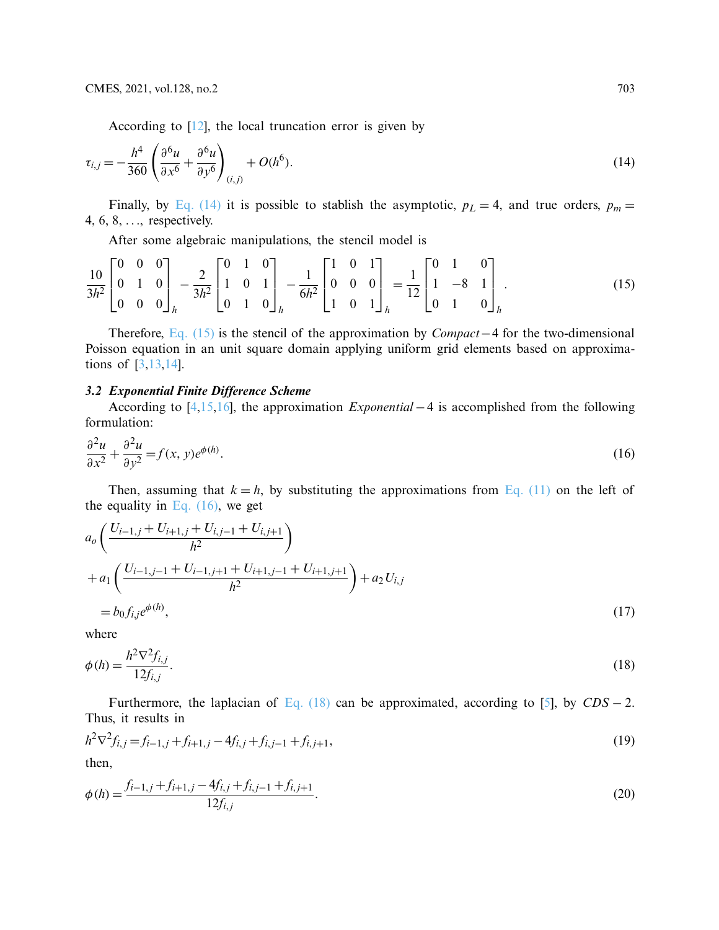<span id="page-4-0"></span>According to  $[12]$ , the local truncation error is given by

$$
\tau_{i,j} = -\frac{h^4}{360} \left( \frac{\partial^6 u}{\partial x^6} + \frac{\partial^6 u}{\partial y^6} \right)_{(i,j)} + O(h^6).
$$
 (14)

Finally, by [Eq. \(14\)](#page-4-0) it is possible to stablish the asymptotic,  $p_L = 4$ , and true orders,  $p_m =$ 4, 6, 8, ..., respectively.

<span id="page-4-1"></span>After some algebraic manipulations, the stencil model is

$$
\frac{10}{3h^2} \begin{bmatrix} 0 & 0 & 0 \ 0 & 1 & 0 \ 0 & 0 & 0 \end{bmatrix}_h - \frac{2}{3h^2} \begin{bmatrix} 0 & 1 & 0 \ 1 & 0 & 1 \ 0 & 1 & 0 \end{bmatrix}_h - \frac{1}{6h^2} \begin{bmatrix} 1 & 0 & 1 \ 0 & 0 & 0 \ 1 & 0 & 1 \end{bmatrix}_h = \frac{1}{12} \begin{bmatrix} 0 & 1 & 0 \ 1 & -8 & 1 \ 0 & 1 & 0 \end{bmatrix}_h.
$$
 (15)

Therefore, [Eq. \(15\)](#page-4-1) is the stencil of the approximation by *Compact*−4 for the two-dimensional Poisson equation in an unit square domain applying uniform grid elements based on approximations of [\[3](#page-15-1)[,13](#page-15-10)[,14](#page-15-11)].

*3.2 Exponential Finite Difference Scheme* According to [\[4](#page-15-2)[,15](#page-15-12)[,16\]](#page-15-13), the approximation *Exponential* −4 is accomplished from the following formulation:

<span id="page-4-2"></span>
$$
\frac{\partial^2 u}{\partial x^2} + \frac{\partial^2 u}{\partial y^2} = f(x, y)e^{\phi(h)}.
$$
\n(16)

Then, assuming that  $k = h$ , by substituting the approximations from [Eq. \(11\)](#page-3-3) on the left of the equality in Eq.  $(16)$ , we get

$$
a_o \left( \frac{U_{i-1,j} + U_{i+1,j} + U_{i,j-1} + U_{i,j+1}}{h^2} \right)
$$
  
+ 
$$
a_1 \left( \frac{U_{i-1,j-1} + U_{i-1,j+1} + U_{i+1,j-1} + U_{i+1,j+1}}{h^2} \right) + a_2 U_{i,j}
$$
  
= 
$$
b_0 f_{i,j} e^{\phi(h)}, \qquad (17)
$$

<span id="page-4-3"></span>where

<span id="page-4-4"></span>
$$
\phi(h) = \frac{h^2 \nabla^2 f_{i,j}}{12 f_{i,j}}.
$$
\n(18)

Furthermore, the laplacian of [Eq. \(18\)](#page-4-3) can be approximated, according to [\[5\]](#page-15-3), by  $CDS - 2$ . Thus, it results in

$$
h^2 \nabla^2 f_{i,j} = f_{i-1,j} + f_{i+1,j} - 4f_{i,j} + f_{i,j-1} + f_{i,j+1},
$$
\n(19)

\nthen

then,

$$
\phi(h) = \frac{f_{i-1,j} + f_{i+1,j} - 4f_{i,j} + f_{i,j-1} + f_{i,j+1}}{12f_{i,j}}.
$$
\n(20)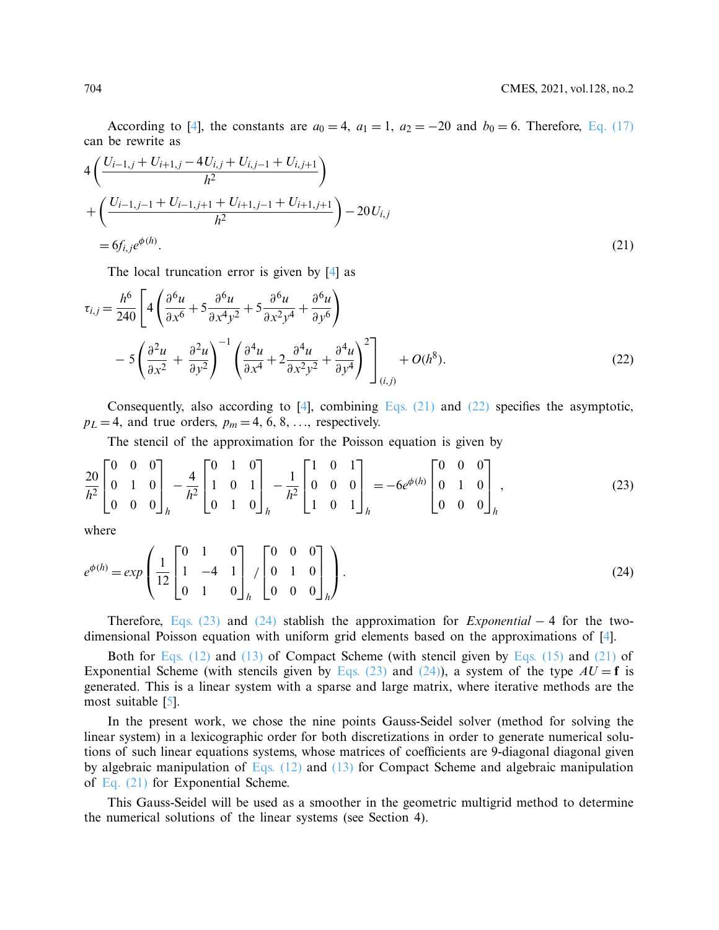According to [\[4](#page-15-2)], the constants are  $a_0 = 4$ ,  $a_1 = 1$ ,  $a_2 = -20$  and  $b_0 = 6$ . Therefore, [Eq. \(17\)](#page-4-4) can be rewrite as

$$
4\left(\frac{U_{i-1,j} + U_{i+1,j} - 4U_{i,j} + U_{i,j-1} + U_{i,j+1}}{h^2}\right) + \left(\frac{U_{i-1,j-1} + U_{i-1,j+1} + U_{i+1,j-1} + U_{i+1,j+1}}{h^2}\right) - 20U_{i,j} = 6f_{i,j}e^{\phi(h)}.
$$
\n(21)

<span id="page-5-1"></span><span id="page-5-0"></span>The local truncation error is given by [\[4\]](#page-15-2) as

$$
\tau_{i,j} = \frac{h^6}{240} \left[ 4 \left( \frac{\partial^6 u}{\partial x^6} + 5 \frac{\partial^6 u}{\partial x^4 y^2} + 5 \frac{\partial^6 u}{\partial x^2 y^4} + \frac{\partial^6 u}{\partial y^6} \right) - 5 \left( \frac{\partial^2 u}{\partial x^2} + \frac{\partial^2 u}{\partial y^2} \right)^{-1} \left( \frac{\partial^4 u}{\partial x^4} + 2 \frac{\partial^4 u}{\partial x^2 y^2} + \frac{\partial^4 u}{\partial y^4} \right)^2 \right]_{(i,j)} + O(h^8).
$$
\n(22)

Consequently, also according to  $[4]$ , combining Eqs.  $(21)$  and  $(22)$  specifies the asymptotic,  $p_L = 4$ , and true orders,  $p_m = 4, 6, 8, \ldots$ , respectively.

<span id="page-5-2"></span>The stencil of the approximation for the Poisson equation is given by

$$
\frac{20}{h^2} \begin{bmatrix} 0 & 0 & 0 \\ 0 & 1 & 0 \\ 0 & 0 & 0 \end{bmatrix}_h - \frac{4}{h^2} \begin{bmatrix} 0 & 1 & 0 \\ 1 & 0 & 1 \\ 0 & 1 & 0 \end{bmatrix}_h - \frac{1}{h^2} \begin{bmatrix} 1 & 0 & 1 \\ 0 & 0 & 0 \\ 1 & 0 & 1 \end{bmatrix}_h = -6e^{\phi(h)} \begin{bmatrix} 0 & 0 & 0 \\ 0 & 1 & 0 \\ 0 & 0 & 0 \end{bmatrix}_h,
$$
\n(23)

<span id="page-5-3"></span>where

$$
e^{\phi(h)} = exp\left(\frac{1}{12} \begin{bmatrix} 0 & 1 & 0 \\ 1 & -4 & 1 \\ 0 & 1 & 0 \end{bmatrix}_h / \begin{bmatrix} 0 & 0 & 0 \\ 0 & 1 & 0 \\ 0 & 0 & 0 \end{bmatrix}_h\right).
$$
 (24)

Therefore, [Eqs. \(23\)](#page-5-2) and [\(24\)](#page-5-3) stablish the approximation for *Exponential* − 4 for the twodimensional Poisson equation with uniform grid elements based on the approximations of [\[4\]](#page-15-2).

Both for [Eqs. \(12\)](#page-3-4) and [\(13\)](#page-3-5) of Compact Scheme (with stencil given by [Eqs. \(15\)](#page-4-1) and [\(21\)](#page-5-0) of Exponential Scheme (with stencils given by [Eqs. \(23\)](#page-5-2) and [\(24\)\)](#page-5-3), a system of the type  $AU = f$  is generated. This is a linear system with a sparse and large matrix, where iterative methods are the most suitable [\[5](#page-15-3)].

In the present work, we chose the nine points Gauss-Seidel solver (method for solving the linear system) in a lexicographic order for both discretizations in order to generate numerical solutions of such linear equations systems, whose matrices of coefficients are 9-diagonal diagonal given by algebraic manipulation of Eqs.  $(12)$  and  $(13)$  for Compact Scheme and algebraic manipulation of [Eq. \(21\)](#page-5-0) for Exponential Scheme.

This Gauss-Seidel will be used as a smoother in the geometric multigrid method to determine the numerical solutions of the linear systems (see Section 4).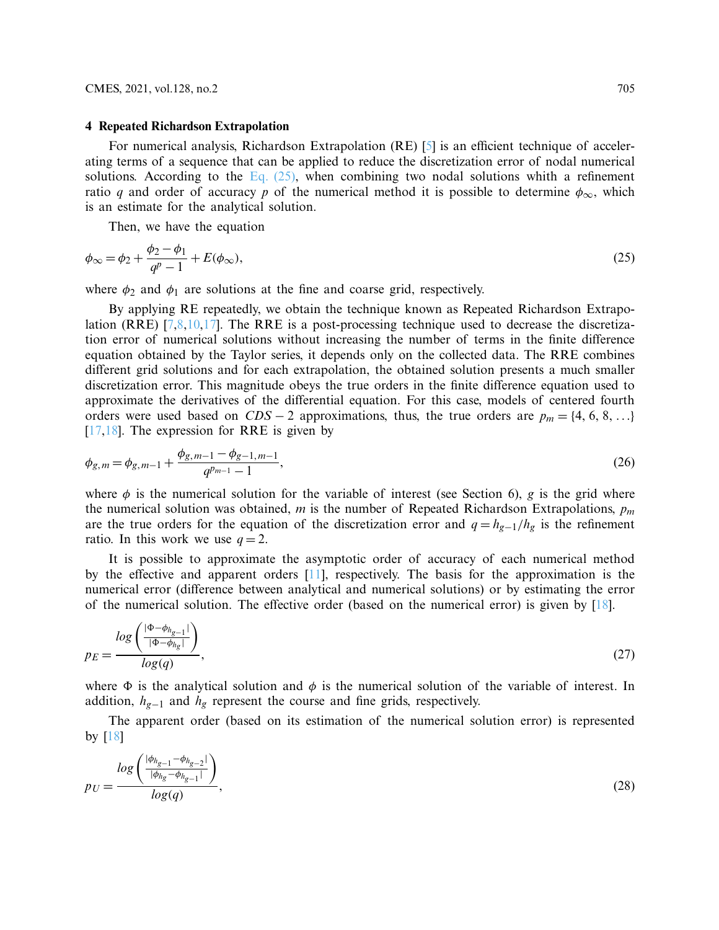## **4 Repeated Richardson Extrapolation**

For numerical analysis, Richardson Extrapolation (RE) [\[5](#page-15-3)] is an efficient technique of accelerating terms of a sequence that can be applied to reduce the discretization error of nodal numerical solutions. According to the Eq.  $(25)$ , when combining two nodal solutions whith a refinement ratio *q* and order of accuracy *p* of the numerical method it is possible to determine  $\phi_{\infty}$ , which is an estimate for the analytical solution.

<span id="page-6-0"></span>Then, we have the equation

$$
\phi_{\infty} = \phi_2 + \frac{\phi_2 - \phi_1}{q^p - 1} + E(\phi_{\infty}),
$$
\n(25)

where  $\phi_2$  and  $\phi_1$  are solutions at the fine and coarse grid, respectively.

By applying RE repeatedly, we obtain the technique known as Repeated Richardson Extrapo-lation (RRE) [\[7](#page-15-5)[,8](#page-15-14)[,10](#page-15-7)[,17](#page-15-15)]. The RRE is a post-processing technique used to decrease the discretization error of numerical solutions without increasing the number of terms in the finite difference equation obtained by the Taylor series, it depends only on the collected data. The RRE combines different grid solutions and for each extrapolation, the obtained solution presents a much smaller discretization error. This magnitude obeys the true orders in the finite difference equation used to approximate the derivatives of the differential equation. For this case, models of centered fourth orders were used based on  $CDS - 2$  approximations, thus, the true orders are  $p_m = \{4, 6, 8, ...\}$  $[17,18]$  $[17,18]$ . The expression for RRE is given by

<span id="page-6-1"></span>
$$
\phi_{g,m} = \phi_{g,m-1} + \frac{\phi_{g,m-1} - \phi_{g-1,m-1}}{q^{p_{m-1}} - 1},\tag{26}
$$

where  $\phi$  is the numerical solution for the variable of interest (see Section 6), *g* is the grid where the numerical solution was obtained, *m* is the number of Repeated Richardson Extrapolations, *pm* are the true orders for the equation of the discretization error and  $q = h_{g-1}/h_g$  is the refinement ratio. In this work we use  $q = 2$ .

It is possible to approximate the asymptotic order of accuracy of each numerical method by the effective and apparent orders [\[11\]](#page-15-8), respectively. The basis for the approximation is the numerical error (difference between analytical and numerical solutions) or by estimating the error of the numerical solution. The effective order (based on the numerical error) is given by  $[18]$  $[18]$ .

<span id="page-6-2"></span>
$$
p_E = \frac{\log\left(\frac{|\Phi - \phi_{h_g - 1}|}{|\Phi - \phi_{h_g}|}\right)}{\log(q)},\tag{27}
$$

where  $\Phi$  is the analytical solution and  $\phi$  is the numerical solution of the variable of interest. In addition, *hg*<sup>−</sup><sup>1</sup> and *hg* represent the course and fine grids, respectively.

<span id="page-6-3"></span>The apparent order (based on its estimation of the numerical solution error) is represented by [\[18](#page-15-16)]

$$
p_U = \frac{\log\left(\frac{|\phi_{h_{g-1}} - \phi_{h_{g-2}}|}{|\phi_{h_g} - \phi_{h_{g-1}}|}\right)}{\log(q)},
$$
\n(28)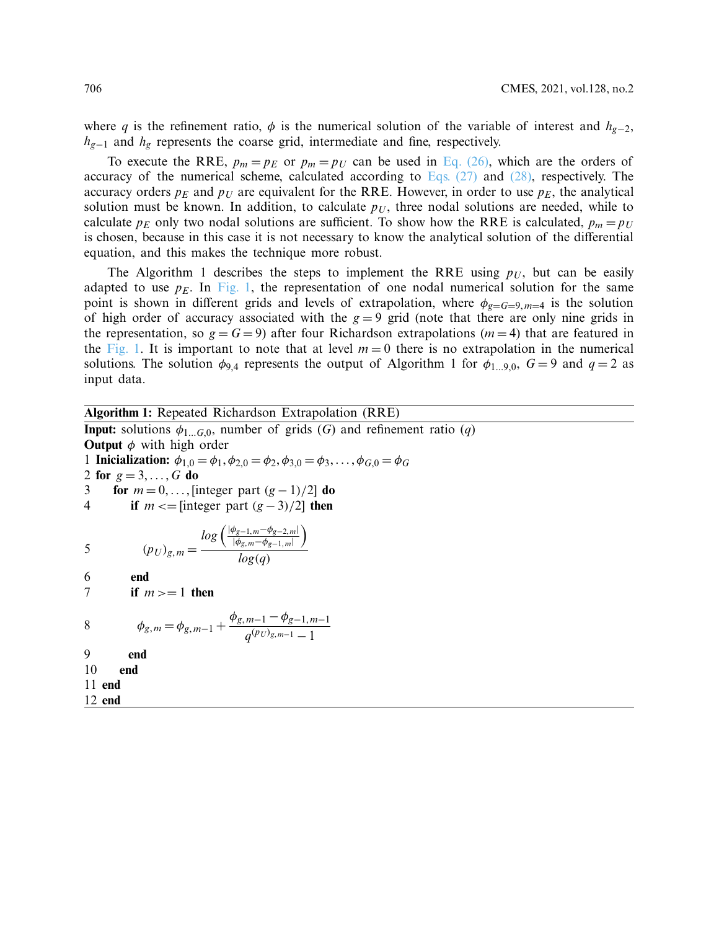where *q* is the refinement ratio,  $\phi$  is the numerical solution of the variable of interest and  $h_{g-2}$ , *h<sub>g−1</sub>* and *h<sub>g</sub>* represents the coarse grid, intermediate and fine, respectively.

To execute the RRE,  $p_m = p_E$  or  $p_m = p_U$  can be used in [Eq. \(26\),](#page-6-1) which are the orders of accuracy of the numerical scheme, calculated according to [Eqs. \(27\)](#page-6-2) and [\(28\),](#page-6-3) respectively. The accuracy orders  $p_E$  and  $p_U$  are equivalent for the RRE. However, in order to use  $p_E$ , the analytical solution must be known. In addition, to calculate  $p_U$ , three nodal solutions are needed, while to calculate  $p_E$  only two nodal solutions are sufficient. To show how the RRE is calculated,  $p_m = p_U$ is chosen, because in this case it is not necessary to know the analytical solution of the differential equation, and this makes the technique more robust.

The Algorithm 1 describes the steps to implement the RRE using  $p_U$ , but can be easily adapted to use  $p_E$ . In [Fig. 1,](#page-8-0) the representation of one nodal numerical solution for the same point is shown in different grids and levels of extrapolation, where  $\phi_{g=G=9,m=4}$  is the solution of high order of accuracy associated with the  $g = 9$  grid (note that there are only nine grids in the representation, so  $g = G = 9$ ) after four Richardson extrapolations ( $m = 4$ ) that are featured in the [Fig. 1.](#page-8-0) It is important to note that at level  $m = 0$  there is no extrapolation in the numerical solutions. The solution  $\phi_{9,4}$  represents the output of Algorithm 1 for  $\phi_{1...9,0}$ ,  $G = 9$  and  $q = 2$  as input data.

**Algorithm 1:** Repeated Richardson Extrapolation (RRE) **Input:** solutions  $\phi$ <sub>1...</sub>*G*,0, number of grids (*G*) and refinement ratio (*q*) **Output**  $\phi$  with high order 1 **Inicialization:**  $\phi_{1,0} = \phi_1, \phi_{2,0} = \phi_2, \phi_{3,0} = \phi_3, \dots, \phi_{G,0} = \phi_G$ 2 **for**  $g = 3, ..., G$  **do** 3 **for**  $m = 0, \ldots$ , [integer part  $(g-1)/2$ ] **do** 4 **if**  $m \leq \text{integer part } (g-3)/2$  then 5  $(p_U)_{g,m} =$  $log\left(\frac{|\phi_{g-1,m} - \phi_{g-2,m}|}{|\phi_{g,m} - \phi_{g-1,m}|}\right)$  $\lambda$ *log*(*q*) 6 **end** 7 **if**  $m \geq 1$  **then** 8  $\phi_{g,m} = \phi_{g,m-1} + \frac{\phi_{g,m-1} - \phi_{g-1,m-1}}{q^{(pv)}g,m-1}$ 9 **end** 10 **end** 11 **end** 12 **end**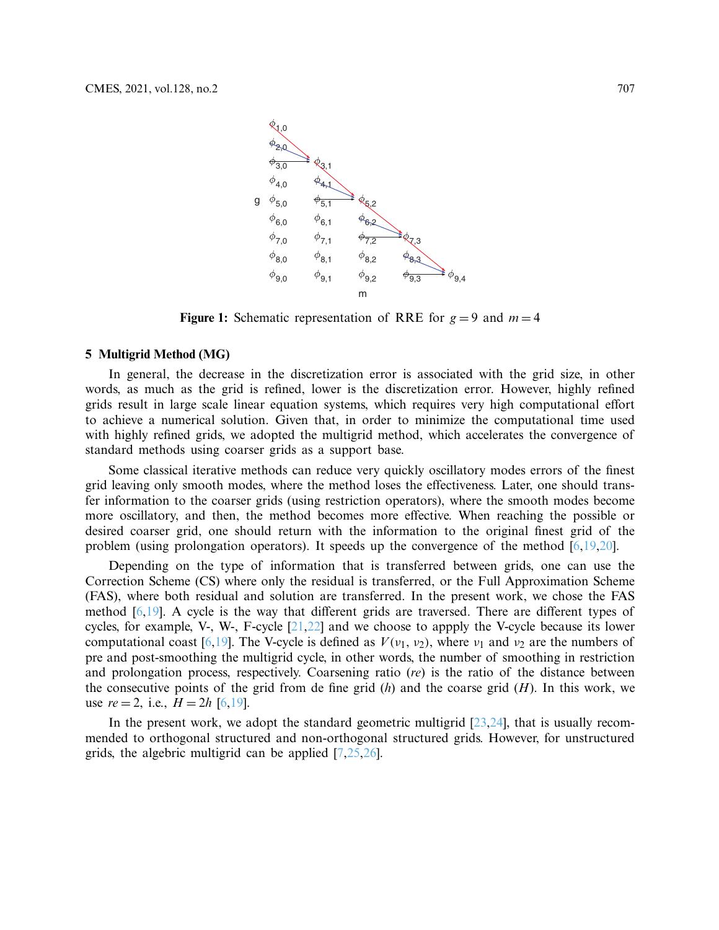<span id="page-8-0"></span>

**Figure 1:** Schematic representation of RRE for  $g = 9$  and  $m = 4$ 

# **5 Multigrid Method (MG)**

In general, the decrease in the discretization error is associated with the grid size, in other words, as much as the grid is refined, lower is the discretization error. However, highly refined grids result in large scale linear equation systems, which requires very high computational effort to achieve a numerical solution. Given that, in order to minimize the computational time used with highly refined grids, we adopted the multigrid method, which accelerates the convergence of standard methods using coarser grids as a support base.

Some classical iterative methods can reduce very quickly oscillatory modes errors of the finest grid leaving only smooth modes, where the method loses the effectiveness. Later, one should transfer information to the coarser grids (using restriction operators), where the smooth modes become more oscillatory, and then, the method becomes more effective. When reaching the possible or desired coarser grid, one should return with the information to the original finest grid of the problem (using prolongation operators). It speeds up the convergence of the method [\[6](#page-15-4)[,19](#page-15-17)[,20\]](#page-15-18).

Depending on the type of information that is transferred between grids, one can use the Correction Scheme (CS) where only the residual is transferred, or the Full Approximation Scheme (FAS), where both residual and solution are transferred. In the present work, we chose the FAS method [\[6](#page-15-4)[,19\]](#page-15-17). A cycle is the way that different grids are traversed. There are different types of cycles, for example, V-, W-, F-cycle  $[21,22]$  $[21,22]$  and we choose to appply the V-cycle because its lower computational coast [\[6](#page-15-4)[,19](#page-15-17)]. The V-cycle is defined as  $V(v_1, v_2)$ , where  $v_1$  and  $v_2$  are the numbers of pre and post-smoothing the multigrid cycle, in other words, the number of smoothing in restriction and prolongation process, respectively. Coarsening ratio (*re*) is the ratio of the distance between the consecutive points of the grid from de fine grid (*h*) and the coarse grid (*H*). In this work, we use  $re = 2$ , i.e.,  $H = 2h$  [\[6](#page-15-4)[,19](#page-15-17)].

In the present work, we adopt the standard geometric multigrid  $[23,24]$  $[23,24]$ , that is usually recommended to orthogonal structured and non-orthogonal structured grids. However, for unstructured grids, the algebric multigrid can be applied [\[7](#page-15-5)[,25](#page-16-3)[,26\]](#page-16-4).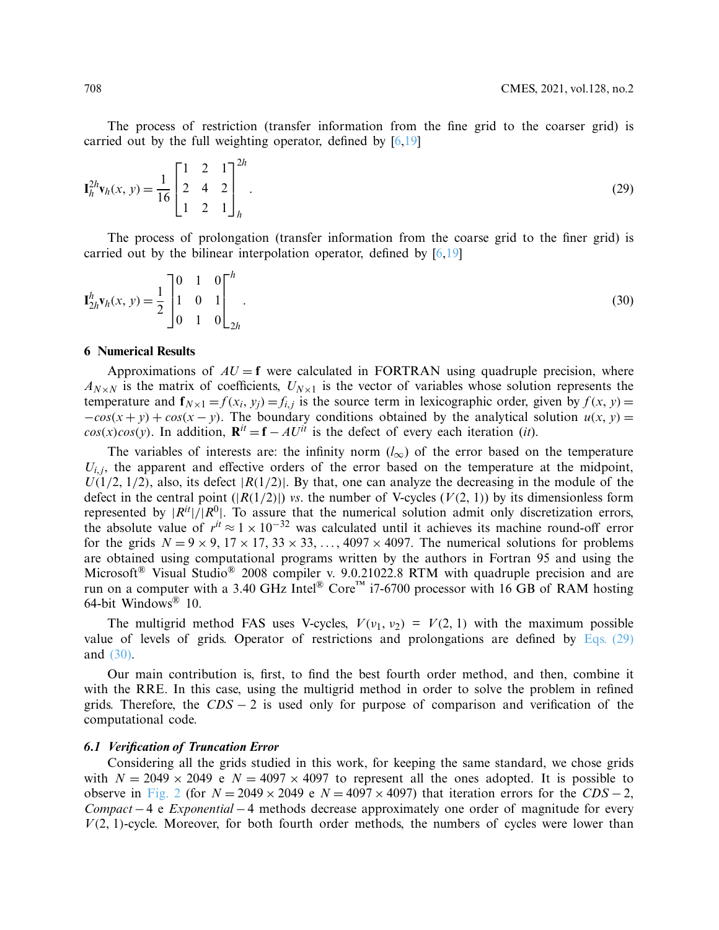The process of restriction (transfer information from the fine grid to the coarser grid) is carried out by the full weighting operator, defined by  $[6,19]$  $[6,19]$ 

<span id="page-9-0"></span>
$$
\mathbf{I}_{h}^{2h}\mathbf{v}_{h}(x, y) = \frac{1}{16} \begin{bmatrix} 1 & 2 & 1 \\ 2 & 4 & 2 \\ 1 & 2 & 1 \end{bmatrix}_{h}^{2h}.
$$
 (29)

The process of prolongation (transfer information from the coarse grid to the finer grid) is carried out by the bilinear interpolation operator, defined by [\[6](#page-15-4)[,19\]](#page-15-17)

<span id="page-9-1"></span>
$$
\mathbf{I}_{2h}^{h}\mathbf{v}_{h}(x, y) = \frac{1}{2} \begin{bmatrix} 0 & 1 & 0 \\ 1 & 0 & 1 \\ 0 & 1 & 0 \end{bmatrix}_{2h}^{h}.
$$
\n(30)

# **6 Numerical Results**

Approximations of  $AU = f$  were calculated in FORTRAN using quadruple precision, where  $A_{N\times N}$  is the matrix of coefficients,  $U_{N\times 1}$  is the vector of variables whose solution represents the temperature and  $f_{N\times 1} = f(x_i, y_i) = f_{i,i}$  is the source term in lexicographic order, given by  $f(x, y) = f_{i,i}$  $-cos(x + y) + cos(x - y)$ . The boundary conditions obtained by the analytical solution  $u(x, y) =$  $cos(x)cos(y)$ . In addition,  $\mathbf{R}^{it} = \mathbf{f} - AU^{it}$  is the defect of every each iteration (*it*).

The variables of interests are: the infinity norm  $(l_{\infty})$  of the error based on the temperature  $U_{i,j}$ , the apparent and effective orders of the error based on the temperature at the midpoint,  $U(1/2, 1/2)$ , also, its defect  $|R(1/2)|$ . By that, one can analyze the decreasing in the module of the defect in the central point  $(|R(1/2)|)$  *vs*. the number of V-cycles  $(V(2, 1))$  by its dimensionless form represented by  $|R^{it}|/|R^{0}|$ . To assure that the numerical solution admit only discretization errors, the absolute value of  $r^{it} \approx 1 \times 10^{-32}$  was calculated until it achieves its machine round-off error for the grids  $N = 9 \times 9$ ,  $17 \times 17$ ,  $33 \times 33$ , ...,  $4097 \times 4097$ . The numerical solutions for problems are obtained using computational programs written by the authors in Fortran 95 and using the Microsoft<sup>®</sup> Visual Studio<sup>®</sup> 2008 compiler v. 9.0.21022.8 RTM with quadruple precision and are run on a computer with a 3.40 GHz Intel<sup>®</sup> Core<sup>™</sup> i7-6700 processor with 16 GB of RAM hosting 64-bit Windows® 10.

The multigrid method FAS uses V-cycles,  $V(\nu_1, \nu_2) = V(2, 1)$  with the maximum possible value of levels of grids. Operator of restrictions and prolongations are defined by [Eqs. \(29\)](#page-9-0) and [\(30\).](#page-9-1)

Our main contribution is, first, to find the best fourth order method, and then, combine it with the RRE. In this case, using the multigrid method in order to solve the problem in refined grids. Therefore, the *CDS* − 2 is used only for purpose of comparison and verification of the computational code.

Considering all the grids studied in this work, for keeping the same standard, we chose grids with  $N = 2049 \times 2049$  e  $N = 4097 \times 4097$  to represent all the ones adopted. It is possible to observe in [Fig. 2](#page-10-0) (for  $N = 2049 \times 2049$  e  $N = 4097 \times 4097$ ) that iteration errors for the *CDS* – 2, *Compact*−4 e *Exponential* −4 methods decrease approximately one order of magnitude for every *V*(2, 1)-cycle. Moreover, for both fourth order methods, the numbers of cycles were lower than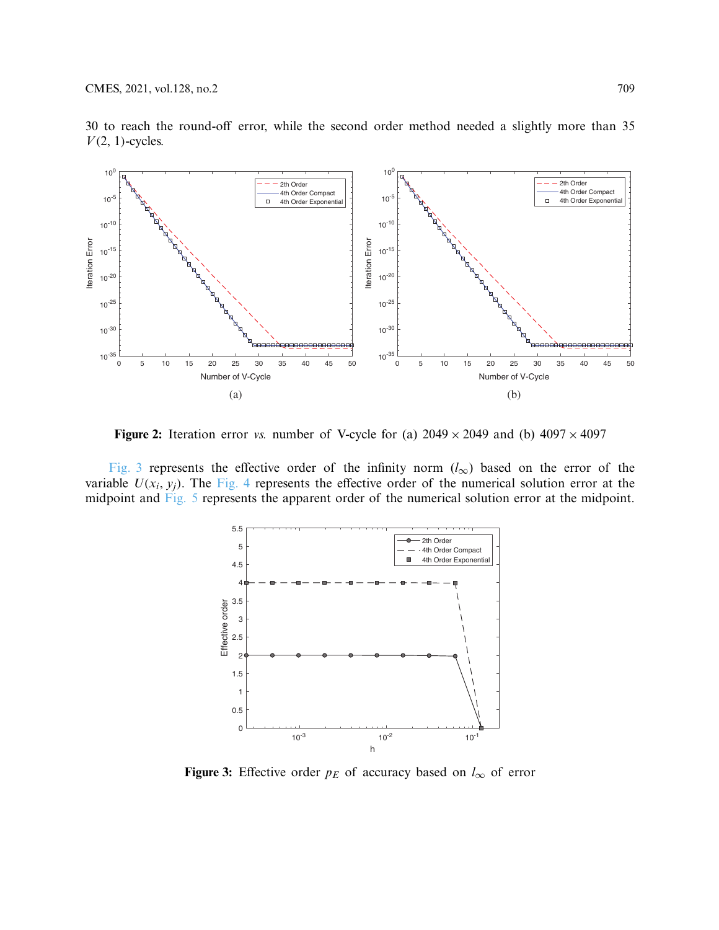

30 to reach the round-off error, while the second order method needed a slightly more than 35  $V(2, 1)$ -cycles.

**Figure 2:** Iteration error *vs.* number of V-cycle for (a)  $2049 \times 2049$  and (b)  $4097 \times 4097$ 

[Fig. 3](#page-10-1) represents the effective order of the infinity norm (*l*∞) based on the error of the variable  $U(x_i, y_j)$ . The [Fig. 4](#page-11-0) represents the effective order of the numerical solution error at the midpoint and [Fig. 5](#page-11-1) represents the apparent order of the numerical solution error at the midpoint.

<span id="page-10-0"></span>

<span id="page-10-1"></span>**Figure 3:** Effective order  $p_E$  of accuracy based on  $l_{\infty}$  of error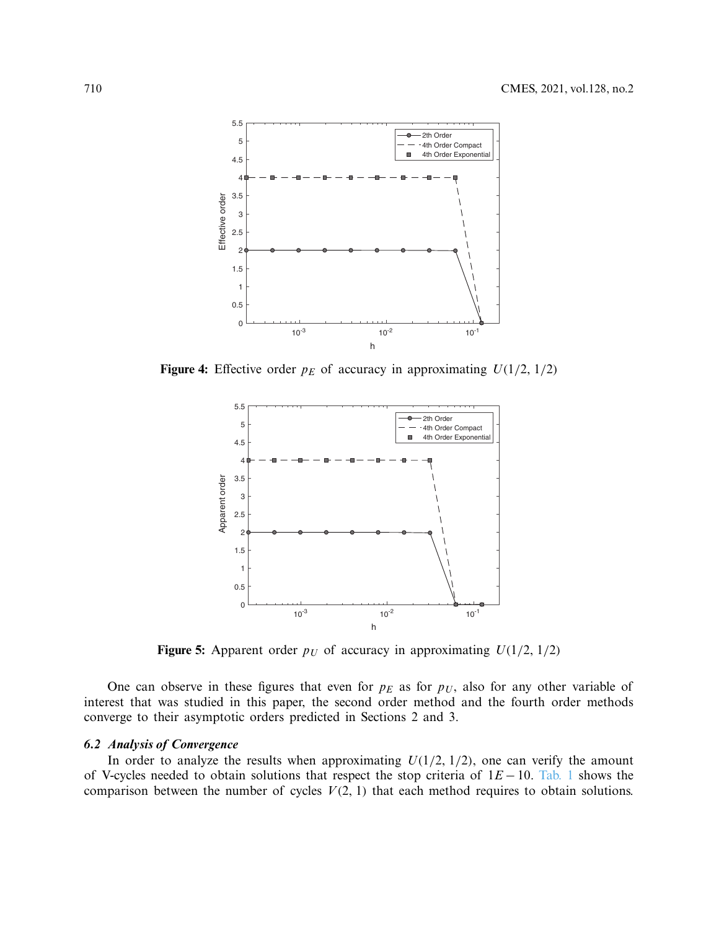

**Figure 4:** Effective order  $p_E$  of accuracy in approximating  $U(1/2, 1/2)$ 

<span id="page-11-0"></span>

<span id="page-11-1"></span>**Figure 5:** Apparent order  $p_U$  of accuracy in approximating  $U(1/2, 1/2)$ 

One can observe in these figures that even for  $p_E$  as for  $p_U$ , also for any other variable of interest that was studied in this paper, the second order method and the fourth order methods converge to their asymptotic orders predicted in Sections 2 and 3.

In order to analyze the results when approximating  $U(1/2, 1/2)$ , one can verify the amount of V-cycles needed to obtain solutions that respect the stop criteria of 1*E* − 10. [Tab. 1](#page-12-0) shows the comparison between the number of cycles  $V(2, 1)$  that each method requires to obtain solutions.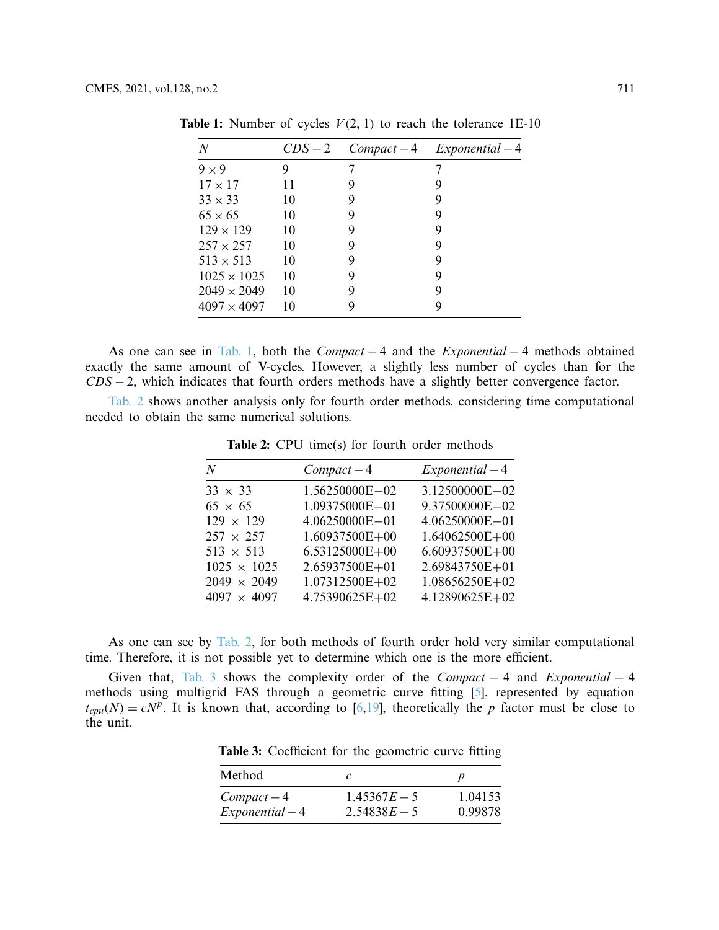| N                  | $CDS-2$ | $Compact-4$ | $Exponential-4$ |
|--------------------|---------|-------------|-----------------|
| $9 \times 9$       | 9       |             |                 |
| $17 \times 17$     | 11      | 9           |                 |
| $33 \times 33$     | 10      | 9           | 9               |
| $65 \times 65$     | 10      | 9           | 9               |
| $129 \times 129$   | 10      | 9           | 9               |
| $257 \times 257$   | 10      | 9           |                 |
| $513 \times 513$   | 10      | 9           | 9               |
| $1025 \times 1025$ | 10      | 9           | 9               |
| $2049 \times 2049$ | 10      | 9           | 9               |
| $4097 \times 4097$ | 10      | Q,          |                 |
|                    |         |             |                 |

<span id="page-12-0"></span>**Table 1:** Number of cycles  $V(2, 1)$  to reach the tolerance 1E-10

As one can see in [Tab. 1,](#page-12-0) both the *Compact* − 4 and the *Exponential* − 4 methods obtained exactly the same amount of V-cycles. However, a slightly less number of cycles than for the *CDS* − 2, which indicates that fourth orders methods have a slightly better convergence factor.

<span id="page-12-1"></span>[Tab. 2](#page-12-1) shows another analysis only for fourth order methods, considering time computational needed to obtain the same numerical solutions.

Table 2: CPU time(s) for fourth order methods

| N                  | $Compact-4$        | $Exponential-4$    |
|--------------------|--------------------|--------------------|
| $33 \times 33$     | 1.56250000E-02     | 3.12500000E-02     |
| $65 \times 65$     | 1.09375000E-01     | 9.37500000E-02     |
| $129 \times 129$   | 4.06250000E-01     | 4.06250000E-01     |
| $257 \times 257$   | 1.60937500E+00     | $1.64062500E + 00$ |
| $513 \times 513$   | $6.53125000E + 00$ | $6.60937500E + 00$ |
| $1025 \times 1025$ | 2.65937500E+01     | 2.69843750E+01     |
| $2049 \times 2049$ | 1.07312500E+02     | $1.08656250E+02$   |
| $4097 \times 4097$ | 4.75390625E+02     | 4.12890625E+02     |

As one can see by [Tab. 2,](#page-12-1) for both methods of fourth order hold very similar computational time. Therefore, it is not possible yet to determine which one is the more efficient.

<span id="page-12-2"></span>Given that, [Tab. 3](#page-12-2) shows the complexity order of the *Compact* − 4 and *Exponential* − 4 methods using multigrid FAS through a geometric curve fitting [\[5\]](#page-15-3), represented by equation  $t_{cpu}(N) = cN<sup>p</sup>$ . It is known that, according to [\[6](#page-15-4)[,19](#page-15-17)], theoretically the *p* factor must be close to the unit.

| Method          |                |         |
|-----------------|----------------|---------|
| $Compact-4$     | $1.45367E - 5$ | 1.04153 |
| $Exponential-4$ | $2.54838E - 5$ | 0.99878 |

**Table 3:** Coefficient for the geometric curve fitting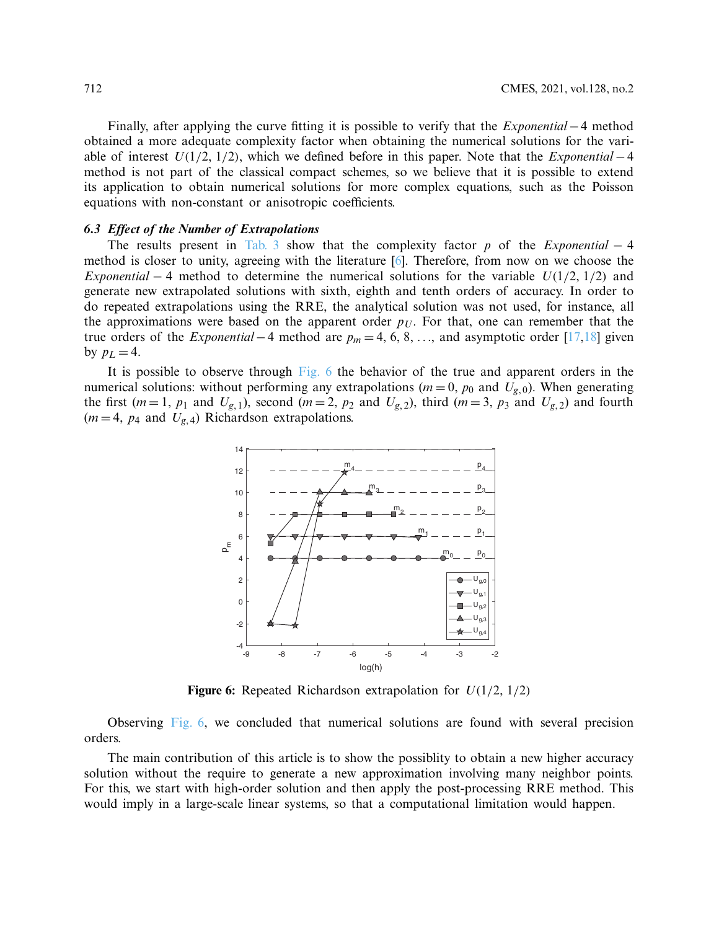Finally, after applying the curve fitting it is possible to verify that the *Exponential* −4 method obtained a more adequate complexity factor when obtaining the numerical solutions for the variable of interest *U*(1/2, 1/2), which we defined before in this paper. Note that the *Exponential* −4 method is not part of the classical compact schemes, so we believe that it is possible to extend its application to obtain numerical solutions for more complex equations, such as the Poisson equations with non-constant or anisotropic coefficients.

The results present in [Tab. 3](#page-12-2) show that the complexity factor *p* of the *Exponential* − 4 method is closer to unity, agreeing with the literature  $[6]$  $[6]$ . Therefore, from now on we choose the *Exponential* − 4 method to determine the numerical solutions for the variable  $U(1/2, 1/2)$  and generate new extrapolated solutions with sixth, eighth and tenth orders of accuracy. In order to do repeated extrapolations using the RRE, the analytical solution was not used, for instance, all the approximations were based on the apparent order  $p_U$ . For that, one can remember that the true orders of the *Exponential* −4 method are *pm* = 4, 6, 8, ..., and asymptotic order [\[17](#page-15-15)[,18](#page-15-16)] given by  $p_L = 4$ .

It is possible to observe through [Fig. 6](#page-13-0) the behavior of the true and apparent orders in the numerical solutions: without performing any extrapolations ( $m = 0$ ,  $p_0$  and  $U_{g,0}$ ). When generating the first  $(m=1, p_1$  and  $U_{g,1}$ ), second  $(m=2, p_2$  and  $U_{g,2}$ ), third  $(m=3, p_3$  and  $U_{g,2}$ ) and fourth  $(m=4, p_4 \text{ and } U_{g,4})$  Richardson extrapolations.



<span id="page-13-0"></span>**Figure 6:** Repeated Richardson extrapolation for *U*(1/2, 1/2)

Observing [Fig. 6,](#page-13-0) we concluded that numerical solutions are found with several precision orders.

The main contribution of this article is to show the possiblity to obtain a new higher accuracy solution without the require to generate a new approximation involving many neighbor points. For this, we start with high-order solution and then apply the post-processing RRE method. This would imply in a large-scale linear systems, so that a computational limitation would happen.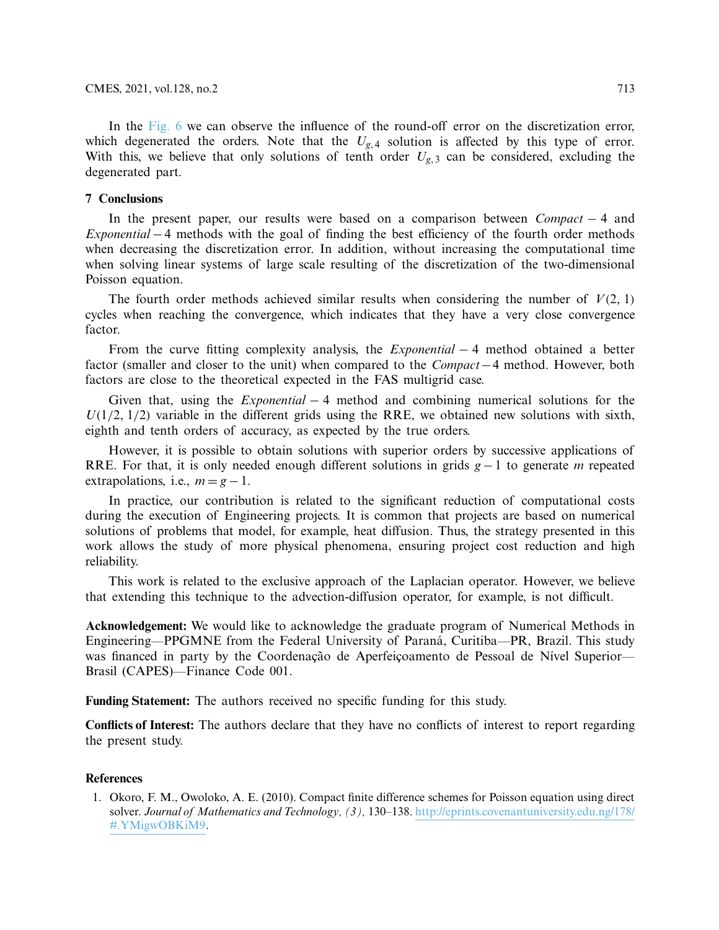In the [Fig. 6](#page-13-0) we can observe the influence of the round-off error on the discretization error, which degenerated the orders. Note that the  $U_{g,4}$  solution is affected by this type of error. With this, we believe that only solutions of tenth order  $U_{g,3}$  can be considered, excluding the degenerated part.

# **7 Conclusions**

In the present paper, our results were based on a comparison between *Compact* − 4 and *Exponential* − 4 methods with the goal of finding the best efficiency of the fourth order methods when decreasing the discretization error. In addition, without increasing the computational time when solving linear systems of large scale resulting of the discretization of the two-dimensional Poisson equation.

The fourth order methods achieved similar results when considering the number of  $V(2, 1)$ cycles when reaching the convergence, which indicates that they have a very close convergence factor.

From the curve fitting complexity analysis, the *Exponential* − 4 method obtained a better factor (smaller and closer to the unit) when compared to the *Compact*−4 method. However, both factors are close to the theoretical expected in the FAS multigrid case.

Given that, using the *Exponential* − 4 method and combining numerical solutions for the  $U(1/2, 1/2)$  variable in the different grids using the RRE, we obtained new solutions with sixth, eighth and tenth orders of accuracy, as expected by the true orders.

However, it is possible to obtain solutions with superior orders by successive applications of RRE. For that, it is only needed enough different solutions in grids *g* −1 to generate *m* repeated extrapolations, i.e.,  $m = g - 1$ .

In practice, our contribution is related to the significant reduction of computational costs during the execution of Engineering projects. It is common that projects are based on numerical solutions of problems that model, for example, heat diffusion. Thus, the strategy presented in this work allows the study of more physical phenomena, ensuring project cost reduction and high reliability.

This work is related to the exclusive approach of the Laplacian operator. However, we believe that extending this technique to the advection-diffusion operator, for example, is not difficult.

**Acknowledgement:** We would like to acknowledge the graduate program of Numerical Methods in Engineering—PPGMNE from the Federal University of Paraná, Curitiba—PR, Brazil. This study was financed in party by the Coordenação de Aperfeiçoamento de Pessoal de Nível Superior— Brasil (CAPES)—Finance Code 001.

**Funding Statement:** The authors received no specific funding for this study.

**Conflicts of Interest:** The authors declare that they have no conflicts of interest to report regarding the present study.

# **References**

<span id="page-14-0"></span>1. Okoro, F. M., Owoloko, A. E. (2010). Compact finite difference schemes for Poisson equation using direct solver. *Journal of Mathematics and Technology, (3),* 130–138. [http://eprints.covenantuniversity.edu.ng/178/](http://eprints.covenantuniversity.edu.ng/178/#.YMigwOBKiM9) [#.YMigwOBKiM9.](http://eprints.covenantuniversity.edu.ng/178/#.YMigwOBKiM9)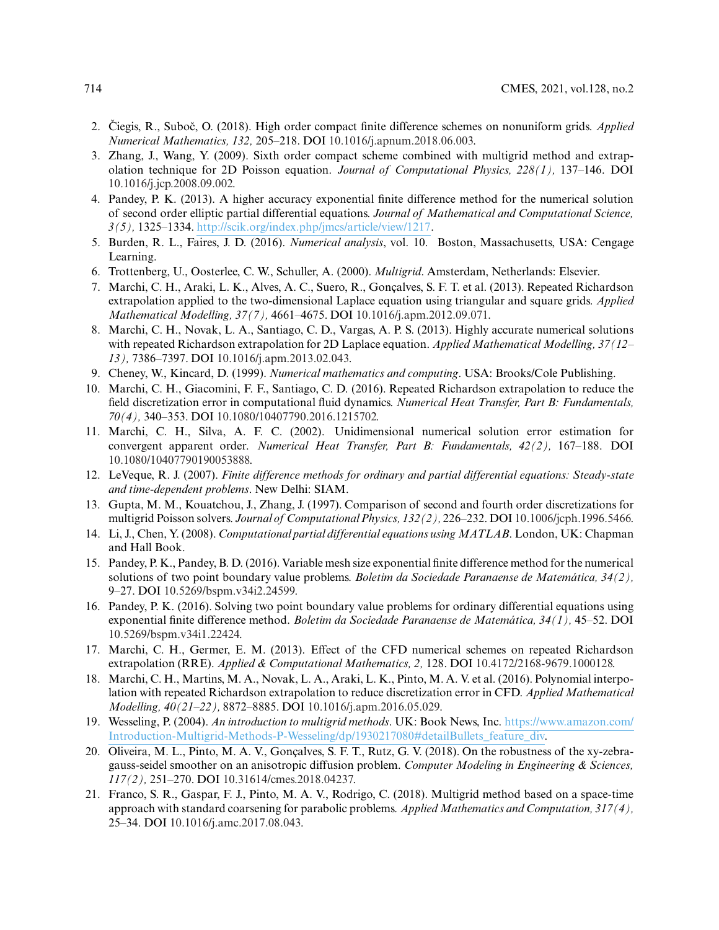- <span id="page-15-0"></span>2. Čiegis, R., Suboč, O. (2018). High order compact finite difference schemes on nonuniform grids. *Applied Numerical Mathematics, 132,* 205–218. DOI [10.1016/j.apnum.2018.06.003.](http://dx.doi.org/10.1016/j.apnum.2018.06.003)
- <span id="page-15-1"></span>3. Zhang, J., Wang, Y. (2009). Sixth order compact scheme combined with multigrid method and extrapolation technique for 2D Poisson equation. *Journal of Computational Physics, 228(1),* 137–146. DOI [10.1016/j.jcp.2008.09.002.](http://dx.doi.org/10.1016/j.jcp.2008.09.002)
- <span id="page-15-2"></span>4. Pandey, P. K. (2013). A higher accuracy exponential finite difference method for the numerical solution of second order elliptic partial differential equations. *Journal of Mathematical and Computational Science, 3(5),* 1325–1334. [http://scik.org/index.php/jmcs/article/view/1217.](http://scik.org/index.php/jmcs/article/view/1217)
- <span id="page-15-3"></span>5. Burden, R. L., Faires, J. D. (2016). *Numerical analysis*, vol. 10. Boston, Massachusetts, USA: Cengage Learning.
- <span id="page-15-4"></span>6. Trottenberg, U., Oosterlee, C. W., Schuller, A. (2000). *Multigrid*. Amsterdam, Netherlands: Elsevier.
- <span id="page-15-5"></span>7. Marchi, C. H., Araki, L. K., Alves, A. C., Suero, R., Gonçalves, S. F. T. et al. (2013). Repeated Richardson extrapolation applied to the two-dimensional Laplace equation using triangular and square grids. *Applied Mathematical Modelling, 37(7),* 4661–4675. DOI [10.1016/j.apm.2012.09.071.](http://dx.doi.org/10.1016/j.apm.2012.09.071)
- <span id="page-15-14"></span>8. Marchi, C. H., Novak, L. A., Santiago, C. D., Vargas, A. P. S. (2013). Highly accurate numerical solutions with repeated Richardson extrapolation for 2D Laplace equation. *Applied Mathematical Modelling, 37(12– 13),* 7386–7397. DOI [10.1016/j.apm.2013.02.043.](http://dx.doi.org/10.1016/j.apm.2013.02.043)
- <span id="page-15-6"></span>9. Cheney, W., Kincard, D. (1999). *Numerical mathematics and computing*. USA: Brooks/Cole Publishing.
- <span id="page-15-7"></span>10. Marchi, C. H., Giacomini, F. F., Santiago, C. D. (2016). Repeated Richardson extrapolation to reduce the field discretization error in computational fluid dynamics. *Numerical Heat Transfer, Part B: Fundamentals, 70(4),* 340–353. DOI [10.1080/10407790.2016.1215702.](http://dx.doi.org/10.1080/10407790.2016.1215702)
- <span id="page-15-8"></span>11. Marchi, C. H., Silva, A. F. C. (2002). Unidimensional numerical solution error estimation for convergent apparent order. *Numerical Heat Transfer, Part B: Fundamentals, 42(2),* 167–188. DOI [10.1080/10407790190053888.](http://dx.doi.org/10.1080/10407790190053888)
- <span id="page-15-9"></span>12. LeVeque, R. J. (2007). *Finite difference methods for ordinary and partial differential equations: Steady-state and time-dependent problems*. New Delhi: SIAM.
- <span id="page-15-10"></span>13. Gupta, M. M., Kouatchou, J., Zhang, J. (1997). Comparison of second and fourth order discretizations for multigrid Poisson solvers. *Journal of ComputationalPhysics, 132(2),* 226–232. DOI [10.1006/jcph.1996.5466.](http://dx.doi.org/10.1006/jcph.1996.5466)
- <span id="page-15-11"></span>14. Li, J., Chen, Y. (2008). *Computational partial differential equations using MATLAB*. London, UK: Chapman and Hall Book.
- <span id="page-15-12"></span>15. Pandey, P. K., Pandey, B. D. (2016). Variable mesh size exponential finite difference method for the numerical solutions of two point boundary value problems. *Boletim da Sociedade Paranaense de Matemática, 34(2),* 9–27. DOI [10.5269/bspm.v34i2.24599.](http://dx.doi.org/10.5269/bspm.v34i2.24599)
- <span id="page-15-13"></span>16. Pandey, P. K. (2016). Solving two point boundary value problems for ordinary differential equations using exponential finite difference method. *Boletim da Sociedade Paranaense de Matemática, 34(1),* 45–52. DOI [10.5269/bspm.v34i1.22424.](http://dx.doi.org/10.5269/bspm.v34i1.22424)
- <span id="page-15-15"></span>17. Marchi, C. H., Germer, E. M. (2013). Effect of the CFD numerical schemes on repeated Richardson extrapolation (RRE). *Applied & Computational Mathematics, 2,* 128. DOI [10.4172/2168-9679.1000128.](http://dx.doi.org/10.4172/2168-9679.1000128)
- <span id="page-15-16"></span>18. Marchi, C. H., Martins, M. A., Novak, L. A., Araki, L. K., Pinto, M. A. V. et al. (2016). Polynomial interpolation with repeated Richardson extrapolation to reduce discretization error in CFD. *Applied Mathematical Modelling, 40(21–22),* 8872–8885. DOI [10.1016/j.apm.2016.05.029.](http://dx.doi.org/10.1016/j.apm.2016.05.029)
- <span id="page-15-17"></span>19. Wesseling, P. (2004). *An introduction to multigrid methods*. UK: Book News, Inc. [https://www.amazon.com/](https://www.amazon.com/Introduction-Multigrid-Methods-P-Wesseling/dp/1930217080# detailBullets_feature_div) [Introduction-Multigrid-Methods-P-Wesseling/dp/1930217080#detailBullets\\_feature\\_div.](https://www.amazon.com/Introduction-Multigrid-Methods-P-Wesseling/dp/1930217080# detailBullets_feature_div)
- <span id="page-15-18"></span>20. Oliveira, M. L., Pinto, M. A. V., Gonçalves, S. F. T., Rutz, G. V. (2018). On the robustness of the xy-zebragauss-seidel smoother on an anisotropic diffusion problem. *Computer Modeling in Engineering & Sciences, 117(2),* 251–270. DOI [10.31614/cmes.2018.04237.](http://dx.doi.org/10.31614/cmes.2018.04237)
- <span id="page-15-19"></span>21. Franco, S. R., Gaspar, F. J., Pinto, M. A. V., Rodrigo, C. (2018). Multigrid method based on a space-time approach with standard coarsening for parabolic problems. *Applied Mathematics and Computation, 317(4),* 25–34. DOI [10.1016/j.amc.2017.08.043.](http://dx.doi.org/10.1016/j.amc.2017.08.043)